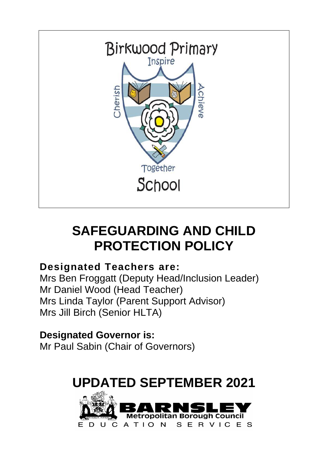

# **SAFEGUARDING AND CHILD PROTECTION POLICY**

# **Designated Teachers are:**

Mrs Ben Froggatt (Deputy Head/Inclusion Leader) Mr Daniel Wood (Head Teacher) Mrs Linda Taylor (Parent Support Advisor) Mrs Jill Birch (Senior HLTA)

**Designated Governor is:** Mr Paul Sabin (Chair of Governors)

# **UPDATED SEPTEMBER 2021**

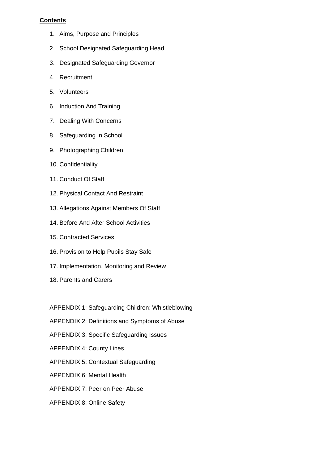# **Contents**

- 1. Aims, Purpose and Principles
- 2. School Designated Safeguarding Head
- 3. Designated Safeguarding Governor
- 4. Recruitment
- 5. Volunteers
- 6. Induction And Training
- 7. Dealing With Concerns
- 8. Safeguarding In School
- 9. Photographing Children
- 10. Confidentiality
- 11. Conduct Of Staff
- 12. Physical Contact And Restraint
- 13. Allegations Against Members Of Staff
- 14. Before And After School Activities
- 15. Contracted Services
- 16. Provision to Help Pupils Stay Safe
- 17. Implementation, Monitoring and Review
- 18. Parents and Carers
- APPENDIX 1: Safeguarding Children: Whistleblowing
- APPENDIX 2: Definitions and Symptoms of Abuse
- APPENDIX 3: Specific Safeguarding Issues
- APPENDIX 4: County Lines
- APPENDIX 5: Contextual Safeguarding
- APPENDIX 6: Mental Health
- APPENDIX 7: Peer on Peer Abuse
- APPENDIX 8: Online Safety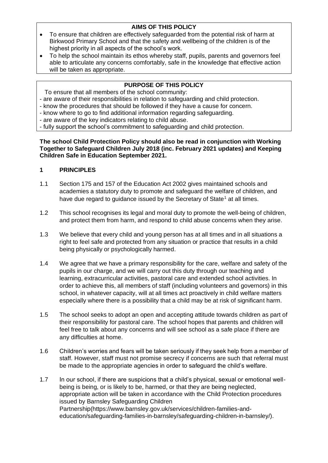# **AIMS OF THIS POLICY**

- To ensure that children are effectively safeguarded from the potential risk of harm at Birkwood Primary School and that the safety and wellbeing of the children is of the highest priority in all aspects of the school's work.
- To help the school maintain its ethos whereby staff, pupils, parents and governors feel able to articulate any concerns comfortably, safe in the knowledge that effective action will be taken as appropriate.

# **PURPOSE OF THIS POLICY**

- To ensure that all members of the school community:
- are aware of their responsibilities in relation to safeguarding and child protection.
- know the procedures that should be followed if they have a cause for concern.
- know where to go to find additional information regarding safeguarding.
- are aware of the key indicators relating to child abuse.
- fully support the school's commitment to safeguarding and child protection.

#### **The school Child Protection Policy should also be read in conjunction with Working Together to Safeguard Children July 2018 (inc. February 2021 updates) and Keeping Children Safe in Education September 2021.**

# **1 PRINCIPLES**

- 1.1 Section 175 and 157 of the Education Act 2002 gives maintained schools and academies a statutory duty to promote and safeguard the welfare of children, and have due regard to guidance issued by the Secretary of State<sup>1</sup> at all times.
- 1.2 This school recognises its legal and moral duty to promote the well-being of children, and protect them from harm, and respond to child abuse concerns when they arise.
- 1.3 We believe that every child and young person has at all times and in all situations a right to feel safe and protected from any situation or practice that results in a child being physically or psychologically harmed.
- 1.4 We agree that we have a primary responsibility for the care, welfare and safety of the pupils in our charge, and we will carry out this duty through our teaching and learning, extracurricular activities, pastoral care and extended school activities. In order to achieve this, all members of staff (including volunteers and governors) in this school, in whatever capacity, will at all times act proactively in child welfare matters especially where there is a possibility that a child may be at risk of significant harm.
- 1.5 The school seeks to adopt an open and accepting attitude towards children as part of their responsibility for pastoral care. The school hopes that parents and children will feel free to talk about any concerns and will see school as a safe place if there are any difficulties at home.
- 1.6 Children's worries and fears will be taken seriously if they seek help from a member of staff. However, staff must not promise secrecy if concerns are such that referral must be made to the appropriate agencies in order to safeguard the child's welfare.
- 1.7 In our school, if there are suspicions that a child's physical, sexual or emotional wellbeing is being, or is likely to be, harmed, or that they are being neglected, appropriate action will be taken in accordance with the Child Protection procedures issued by Barnsley Safeguarding Children Partnership(https://www.barnsley.gov.uk/services/children-families-andeducation/safeguarding-families-in-barnsley/safeguarding-children-in-barnsley/).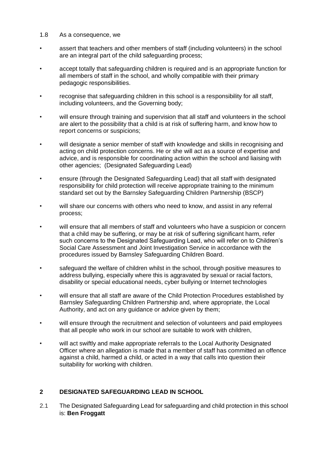#### 1.8 As a consequence, we

- assert that teachers and other members of staff (including volunteers) in the school are an integral part of the child safeguarding process;
- accept totally that safeguarding children is required and is an appropriate function for all members of staff in the school, and wholly compatible with their primary pedagogic responsibilities.
- recognise that safeguarding children in this school is a responsibility for all staff, including volunteers, and the Governing body;
- will ensure through training and supervision that all staff and volunteers in the school are alert to the possibility that a child is at risk of suffering harm, and know how to report concerns or suspicions;
- will designate a senior member of staff with knowledge and skills in recognising and acting on child protection concerns. He or she will act as a source of expertise and advice, and is responsible for coordinating action within the school and liaising with other agencies; (Designated Safeguarding Lead)
- ensure (through the Designated Safeguarding Lead) that all staff with designated responsibility for child protection will receive appropriate training to the minimum standard set out by the Barnsley Safeguarding Children Partnership (BSCP)
- will share our concerns with others who need to know, and assist in any referral process;
- will ensure that all members of staff and volunteers who have a suspicion or concern that a child may be suffering, or may be at risk of suffering significant harm, refer such concerns to the Designated Safeguarding Lead, who will refer on to Children's Social Care Assessment and Joint Investigation Service in accordance with the procedures issued by Barnsley Safeguarding Children Board.
- safeguard the welfare of children whilst in the school, through positive measures to address bullying, especially where this is aggravated by sexual or racial factors, disability or special educational needs, cyber bullying or Internet technologies
- will ensure that all staff are aware of the Child Protection Procedures established by Barnsley Safeguarding Children Partnership and, where appropriate, the Local Authority, and act on any guidance or advice given by them;
- will ensure through the recruitment and selection of volunteers and paid employees that all people who work in our school are suitable to work with children,
- will act swiftly and make appropriate referrals to the Local Authority Designated Officer where an allegation is made that a member of staff has committed an offence against a child, harmed a child, or acted in a way that calls into question their suitability for working with children.

# **2 DESIGNATED SAFEGUARDING LEAD IN SCHOOL**

2.1 The Designated Safeguarding Lead for safeguarding and child protection in this school is: **Ben Froggatt**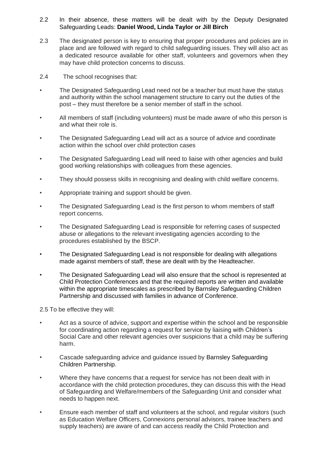- 2.2 In their absence, these matters will be dealt with by the Deputy Designated Safeguarding Leads: **Daniel Wood, Linda Taylor or Jill Birch**
- 2.3 The designated person is key to ensuring that proper procedures and policies are in place and are followed with regard to child safeguarding issues. They will also act as a dedicated resource available for other staff, volunteers and governors when they may have child protection concerns to discuss.
- 2.4 The school recognises that:
- The Designated Safeguarding Lead need not be a teacher but must have the status and authority within the school management structure to carry out the duties of the post – they must therefore be a senior member of staff in the school.
- All members of staff (including volunteers) must be made aware of who this person is and what their role is.
- The Designated Safeguarding Lead will act as a source of advice and coordinate action within the school over child protection cases
- The Designated Safeguarding Lead will need to liaise with other agencies and build good working relationships with colleagues from these agencies.
- They should possess skills in recognising and dealing with child welfare concerns.
- Appropriate training and support should be given.
- The Designated Safeguarding Lead is the first person to whom members of staff report concerns.
- The Designated Safeguarding Lead is responsible for referring cases of suspected abuse or allegations to the relevant investigating agencies according to the procedures established by the BSCP.
- The Designated Safeguarding Lead is not responsible for dealing with allegations made against members of staff, these are dealt with by the Headteacher.
- The Designated Safeguarding Lead will also ensure that the school is represented at Child Protection Conferences and that the required reports are written and available within the appropriate timescales as prescribed by Barnsley Safeguarding Children Partnership and discussed with families in advance of Conference.

2.5 To be effective they will:

- Act as a source of advice, support and expertise within the school and be responsible for coordinating action regarding a request for service by liaising with Children's Social Care and other relevant agencies over suspicions that a child may be suffering harm.
- Cascade safeguarding advice and guidance issued by Barnsley Safeguarding Children Partnership.
- Where they have concerns that a request for service has not been dealt with in accordance with the child protection procedures, they can discuss this with the Head of Safeguarding and Welfare/members of the Safeguarding Unit and consider what needs to happen next.
- Ensure each member of staff and volunteers at the school, and regular visitors (such as Education Welfare Officers, Connexions personal advisors, trainee teachers and supply teachers) are aware of and can access readily the Child Protection and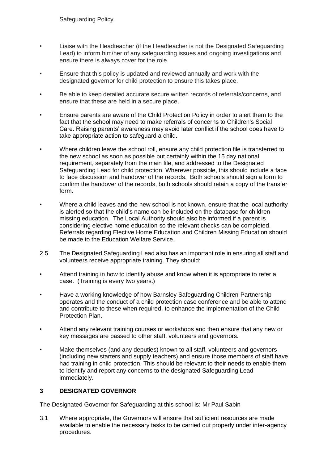Safeguarding Policy.

- Liaise with the Headteacher (if the Headteacher is not the Designated Safeguarding Lead) to inform him/her of any safeguarding issues and ongoing investigations and ensure there is always cover for the role.
- Ensure that this policy is updated and reviewed annually and work with the designated governor for child protection to ensure this takes place.
- Be able to keep detailed accurate secure written records of referrals/concerns, and ensure that these are held in a secure place.
- Ensure parents are aware of the Child Protection Policy in order to alert them to the fact that the school may need to make referrals of concerns to Children's Social Care. Raising parents' awareness may avoid later conflict if the school does have to take appropriate action to safeguard a child.
- Where children leave the school roll, ensure any child protection file is transferred to the new school as soon as possible but certainly within the 15 day national requirement, separately from the main file, and addressed to the Designated Safeguarding Lead for child protection. Wherever possible, this should include a face to face discussion and handover of the records. Both schools should sign a form to confirm the handover of the records, both schools should retain a copy of the transfer form.
- Where a child leaves and the new school is not known, ensure that the local authority is alerted so that the child's name can be included on the database for children missing education. The Local Authority should also be informed if a parent is considering elective home education so the relevant checks can be completed. Referrals regarding Elective Home Education and Children Missing Education should be made to the Education Welfare Service.
- 2.5 The Designated Safeguarding Lead also has an important role in ensuring all staff and volunteers receive appropriate training. They should:
- Attend training in how to identify abuse and know when it is appropriate to refer a case. (Training is every two years.)
- Have a working knowledge of how Barnsley Safeguarding Children Partnership operates and the conduct of a child protection case conference and be able to attend and contribute to these when required, to enhance the implementation of the Child Protection Plan.
- Attend any relevant training courses or workshops and then ensure that any new or key messages are passed to other staff, volunteers and governors.
- Make themselves (and any deputies) known to all staff, volunteers and governors (including new starters and supply teachers) and ensure those members of staff have had training in child protection. This should be relevant to their needs to enable them to identify and report any concerns to the designated Safeguarding Lead immediately.

## **3 DESIGNATED GOVERNOR**

The Designated Governor for Safeguarding at this school is: Mr Paul Sabin

3.1 Where appropriate, the Governors will ensure that sufficient resources are made available to enable the necessary tasks to be carried out properly under inter-agency procedures.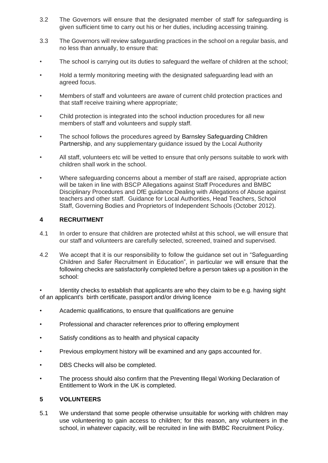- 3.2 The Governors will ensure that the designated member of staff for safeguarding is given sufficient time to carry out his or her duties, including accessing training.
- 3.3 The Governors will review safeguarding practices in the school on a regular basis, and no less than annually, to ensure that:
- The school is carrying out its duties to safeguard the welfare of children at the school;
- Hold a termly monitoring meeting with the designated safeguarding lead with an agreed focus.
- Members of staff and volunteers are aware of current child protection practices and that staff receive training where appropriate;
- Child protection is integrated into the school induction procedures for all new members of staff and volunteers and supply staff.
- The school follows the procedures agreed by Barnsley Safeguarding Children Partnership, and any supplementary guidance issued by the Local Authority
- All staff, volunteers etc will be vetted to ensure that only persons suitable to work with children shall work in the school.
- Where safeguarding concerns about a member of staff are raised, appropriate action will be taken in line with BSCP Allegations against Staff Procedures and BMBC Disciplinary Procedures and DfE guidance Dealing with Allegations of Abuse against teachers and other staff. Guidance for Local Authorities, Head Teachers, School Staff, Governing Bodies and Proprietors of Independent Schools (October 2012).

# **4 RECRUITMENT**

- 4.1 In order to ensure that children are protected whilst at this school, we will ensure that our staff and volunteers are carefully selected, screened, trained and supervised.
- 4.2 We accept that it is our responsibility to follow the guidance set out in "Safeguarding Children and Safer Recruitment in Education", in particular we will ensure that the following checks are satisfactorily completed before a person takes up a position in the school:

• Identity checks to establish that applicants are who they claim to be e.g. having sight of an applicant's birth certificate, passport and/or driving licence

- Academic qualifications, to ensure that qualifications are genuine
- Professional and character references prior to offering employment
- Satisfy conditions as to health and physical capacity
- Previous employment history will be examined and any gaps accounted for.
- DBS Checks will also be completed.
- The process should also confirm that the Preventing Illegal Working Declaration of Entitlement to Work in the UK is completed.

## **5 VOLUNTEERS**

5.1 We understand that some people otherwise unsuitable for working with children may use volunteering to gain access to children; for this reason, any volunteers in the school, in whatever capacity, will be recruited in line with BMBC Recruitment Policy.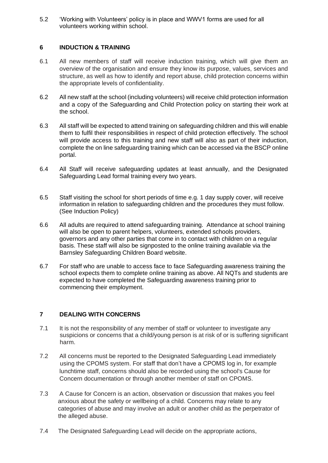5.2 'Working with Volunteers' policy is in place and WWV1 forms are used for all volunteers working within school.

#### **6 INDUCTION & TRAINING**

- 6.1 All new members of staff will receive induction training, which will give them an overview of the organisation and ensure they know its purpose, values, services and structure, as well as how to identify and report abuse, child protection concerns within the appropriate levels of confidentiality.
- 6.2 All new staff at the school (including volunteers) will receive child protection information and a copy of the Safeguarding and Child Protection policy on starting their work at the school.
- 6.3 All staff will be expected to attend training on safeguarding children and this will enable them to fulfil their responsibilities in respect of child protection effectively. The school will provide access to this training and new staff will also as part of their induction, complete the on line safeguarding training which can be accessed via the BSCP online portal.
- 6.4 All Staff will receive safeguarding updates at least annually, and the Designated Safeguarding Lead formal training every two years.
- 6.5 Staff visiting the school for short periods of time e.g. 1 day supply cover, will receive information in relation to safeguarding children and the procedures they must follow. (See Induction Policy)
- 6.6 All adults are required to attend safeguarding training. Attendance at school training will also be open to parent helpers, volunteers, extended schools providers, governors and any other parties that come in to contact with children on a regular basis. These staff will also be signposted to the online training available via the Barnsley Safeguarding Children Board website.
- 6.7 For staff who are unable to access face to face Safeguarding awareness training the school expects them to complete online training as above. All NQTs and students are expected to have completed the Safeguarding awareness training prior to commencing their employment.

## **7 DEALING WITH CONCERNS**

- 7.1 It is not the responsibility of any member of staff or volunteer to investigate any suspicions or concerns that a child/young person is at risk of or is suffering significant harm.
- 7.2 All concerns must be reported to the Designated Safeguarding Lead immediately using the CPOMS system. For staff that don't have a CPOMS log in, for example lunchtime staff, concerns should also be recorded using the school's Cause for Concern documentation or through another member of staff on CPOMS.
- 7.3 A Cause for Concern is an action, observation or discussion that makes you feel anxious about the safety or wellbeing of a child. Concerns may relate to any categories of abuse and may involve an adult or another child as the perpetrator of the alleged abuse.
- 7.4 The Designated Safeguarding Lead will decide on the appropriate actions,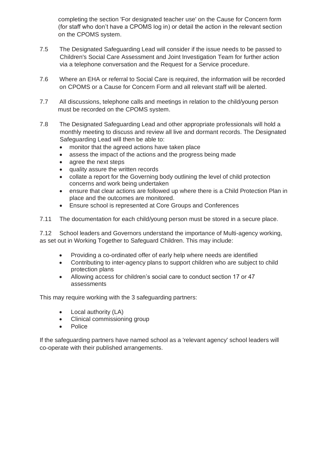completing the section 'For designated teacher use' on the Cause for Concern form (for staff who don't have a CPOMS log in) or detail the action in the relevant section on the CPOMS system.

- 7.5 The Designated Safeguarding Lead will consider if the issue needs to be passed to Children's Social Care Assessment and Joint Investigation Team for further action via a telephone conversation and the Request for a Service procedure.
- 7.6 Where an EHA or referral to Social Care is required, the information will be recorded on CPOMS or a Cause for Concern Form and all relevant staff will be alerted.
- 7.7 All discussions, telephone calls and meetings in relation to the child/young person must be recorded on the CPOMS system.
- 7.8 The Designated Safeguarding Lead and other appropriate professionals will hold a monthly meeting to discuss and review all live and dormant records. The Designated Safeguarding Lead will then be able to:
	- monitor that the agreed actions have taken place
	- assess the impact of the actions and the progress being made
	- agree the next steps
	- quality assure the written records
	- collate a report for the Governing body outlining the level of child protection concerns and work being undertaken
	- ensure that clear actions are followed up where there is a Child Protection Plan in place and the outcomes are monitored.
	- Ensure school is represented at Core Groups and Conferences
- 7.11 The documentation for each child/young person must be stored in a secure place.

7.12 School leaders and Governors understand the importance of Multi-agency working, as set out in Working Together to Safeguard Children. This may include:

- Providing a co-ordinated offer of early help where needs are identified
- Contributing to inter-agency plans to support children who are subject to child protection plans
- Allowing access for children's social care to conduct section 17 or 47 assessments

This may require working with the 3 safeguarding partners:

- Local authority (LA)
- Clinical commissioning group
- Police

If the safeguarding partners have named school as a 'relevant agency' school leaders will co-operate with their published arrangements.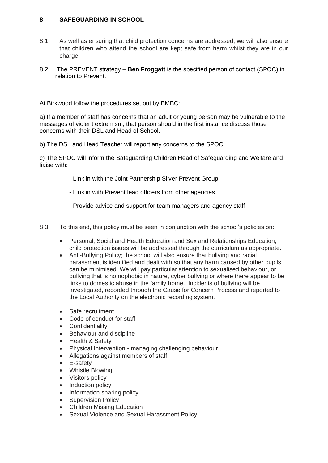# **8 SAFEGUARDING IN SCHOOL**

- 8.1 As well as ensuring that child protection concerns are addressed, we will also ensure that children who attend the school are kept safe from harm whilst they are in our charge.
- 8.2 The PREVENT strategy **Ben Froggatt** is the specified person of contact (SPOC) in relation to Prevent.

At Birkwood follow the procedures set out by BMBC:

a) If a member of staff has concerns that an adult or young person may be vulnerable to the messages of violent extremism, that person should in the first instance discuss those concerns with their DSL and Head of School.

b) The DSL and Head Teacher will report any concerns to the SPOC

c) The SPOC will inform the Safeguarding Children Head of Safeguarding and Welfare and liaise with:

- Link in with the Joint Partnership Silver Prevent Group
- Link in with Prevent lead officers from other agencies
- Provide advice and support for team managers and agency staff
- 8.3 To this end, this policy must be seen in conjunction with the school's policies on:
	- Personal, Social and Health Education and Sex and Relationships Education; child protection issues will be addressed through the curriculum as appropriate.
	- Anti-Bullying Policy; the school will also ensure that bullying and racial harassment is identified and dealt with so that any harm caused by other pupils can be minimised. We will pay particular attention to sexualised behaviour, or bullying that is homophobic in nature, cyber bullying or where there appear to be links to domestic abuse in the family home. Incidents of bullying will be investigated, recorded through the Cause for Concern Process and reported to the Local Authority on the electronic recording system.
	- Safe recruitment
	- Code of conduct for staff
	- **Confidentiality**
	- Behaviour and discipline
	- Health & Safety
	- Physical Intervention managing challenging behaviour
	- Allegations against members of staff
	- E-safety
	- Whistle Blowing
	- Visitors policy
	- Induction policy
	- Information sharing policy
	- Supervision Policy
	- Children Missing Education
	- Sexual Violence and Sexual Harassment Policy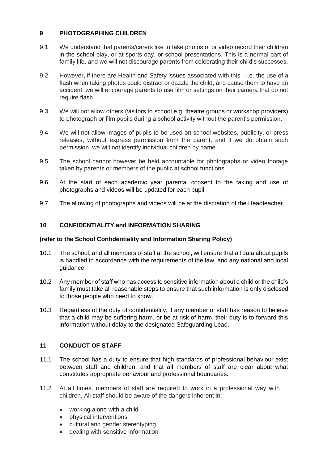# **9 PHOTOGRAPHING CHILDREN**

- 9.1 We understand that parents/carers like to take photos of or video record their children in the school play, or at sports day, or school presentations. This is a normal part of family life, and we will not discourage parents from celebrating their child's successes.
- 9.2 However, if there are Health and Safety issues associated with this i.e. the use of a flash when taking photos could distract or dazzle the child, and cause them to have an accident, we will encourage parents to use film or settings on their camera that do not require flash.
- 9.3 We will not allow others (visitors to school e.g. theatre groups or workshop providers) to photograph or film pupils during a school activity without the parent's permission.
- 9.4 We will not allow images of pupils to be used on school websites, publicity, or press releases, without express permission from the parent, and if we do obtain such permission, we will not identify individual children by name.
- 9.5 The school cannot however be held accountable for photographs or video footage taken by parents or members of the public at school functions.
- 9.6 At the start of each academic year parental consent to the taking and use of photographs and videos will be updated for each pupil
- 9.7 The allowing of photographs and videos will be at the discretion of the Headteacher.

# **10 CONFIDENTIALITY and INFORMATION SHARING**

## **(refer to the School Confidentiality and Information Sharing Policy)**

- 10.1 The school, and all members of staff at the school, will ensure that all data about pupils is handled in accordance with the requirements of the law, and any national and local guidance.
- 10.2 Any member of staff who has access to sensitive information about a child or the child's family must take all reasonable steps to ensure that such information is only disclosed to those people who need to know.
- 10.3 Regardless of the duty of confidentiality, if any member of staff has reason to believe that a child may be suffering harm, or be at risk of harm, their duty is to forward this information without delay to the designated Safeguarding Lead.

## **11 CONDUCT OF STAFF**

- 11.1 The school has a duty to ensure that high standards of professional behaviour exist between staff and children, and that all members of staff are clear about what constitutes appropriate behaviour and professional boundaries.
- 11.2 At all times, members of staff are required to work in a professional way with children. All staff should be aware of the dangers inherent in:
	- working alone with a child
	- physical interventions
	- cultural and gender stereotyping
	- dealing with sensitive information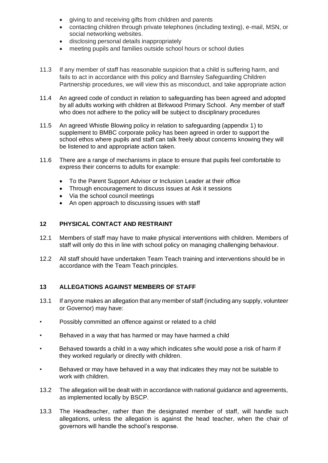- giving to and receiving gifts from children and parents
- contacting children through private telephones (including texting), e-mail, MSN, or social networking websites.
- disclosing personal details inappropriately
- meeting pupils and families outside school hours or school duties
- 11.3 If any member of staff has reasonable suspicion that a child is suffering harm, and fails to act in accordance with this policy and Barnsley Safeguarding Children Partnership procedures, we will view this as misconduct, and take appropriate action
- 11.4 An agreed code of conduct in relation to safeguarding has been agreed and adopted by all adults working with children at Birkwood Primary School. Any member of staff who does not adhere to the policy will be subject to disciplinary procedures
- 11.5 An agreed Whistle Blowing policy in relation to safeguarding (appendix 1) to supplement to BMBC corporate policy has been agreed in order to support the school ethos where pupils and staff can talk freely about concerns knowing they will be listened to and appropriate action taken.
- 11.6 There are a range of mechanisms in place to ensure that pupils feel comfortable to express their concerns to adults for example:
	- To the Parent Support Advisor or Inclusion Leader at their office
	- Through encouragement to discuss issues at Ask it sessions
	- Via the school council meetings
	- An open approach to discussing issues with staff

# **12 PHYSICAL CONTACT AND RESTRAINT**

- 12.1 Members of staff may have to make physical interventions with children. Members of staff will only do this in line with school policy on managing challenging behaviour.
- 12.2 All staff should have undertaken Team Teach training and interventions should be in accordance with the Team Teach principles.

## **13 ALLEGATIONS AGAINST MEMBERS OF STAFF**

- 13.1 If anyone makes an allegation that any member of staff (including any supply, volunteer or Governor) may have:
- Possibly committed an offence against or related to a child
- Behaved in a way that has harmed or may have harmed a child
- Behaved towards a child in a way which indicates s/he would pose a risk of harm if they worked regularly or directly with children.
- Behaved or may have behaved in a way that indicates they may not be suitable to work with children.
- 13.2 The allegation will be dealt with in accordance with national guidance and agreements, as implemented locally by BSCP.
- 13.3 The Headteacher, rather than the designated member of staff, will handle such allegations, unless the allegation is against the head teacher, when the chair of governors will handle the school's response.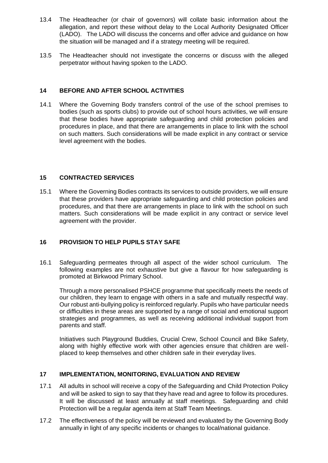- 13.4 The Headteacher (or chair of governors) will collate basic information about the allegation, and report these without delay to the Local Authority Designated Officer (LADO). The LADO will discuss the concerns and offer advice and guidance on how the situation will be managed and if a strategy meeting will be required.
- 13.5 The Headteacher should not investigate the concerns or discuss with the alleged perpetrator without having spoken to the LADO.

# **14 BEFORE AND AFTER SCHOOL ACTIVITIES**

14.1 Where the Governing Body transfers control of the use of the school premises to bodies (such as sports clubs) to provide out of school hours activities, we will ensure that these bodies have appropriate safeguarding and child protection policies and procedures in place, and that there are arrangements in place to link with the school on such matters. Such considerations will be made explicit in any contract or service level agreement with the bodies.

# **15 CONTRACTED SERVICES**

15.1 Where the Governing Bodies contracts its services to outside providers, we will ensure that these providers have appropriate safeguarding and child protection policies and procedures, and that there are arrangements in place to link with the school on such matters. Such considerations will be made explicit in any contract or service level agreement with the provider.

# **16 PROVISION TO HELP PUPILS STAY SAFE**

16.1 Safeguarding permeates through all aspect of the wider school curriculum. The following examples are not exhaustive but give a flavour for how safeguarding is promoted at Birkwood Primary School.

Through a more personalised PSHCE programme that specifically meets the needs of our children, they learn to engage with others in a safe and mutually respectful way. Our robust anti-bullying policy is reinforced regularly. Pupils who have particular needs or difficulties in these areas are supported by a range of social and emotional support strategies and programmes, as well as receiving additional individual support from parents and staff.

Initiatives such Playground Buddies, Crucial Crew, School Council and Bike Safety, along with highly effective work with other agencies ensure that children are wellplaced to keep themselves and other children safe in their everyday lives.

## **17 IMPLEMENTATION, MONITORING, EVALUATION AND REVIEW**

- 17.1 All adults in school will receive a copy of the Safeguarding and Child Protection Policy and will be asked to sign to say that they have read and agree to follow its procedures. It will be discussed at least annually at staff meetings. Safeguarding and child Protection will be a regular agenda item at Staff Team Meetings.
- 17.2 The effectiveness of the policy will be reviewed and evaluated by the Governing Body annually in light of any specific incidents or changes to local/national guidance.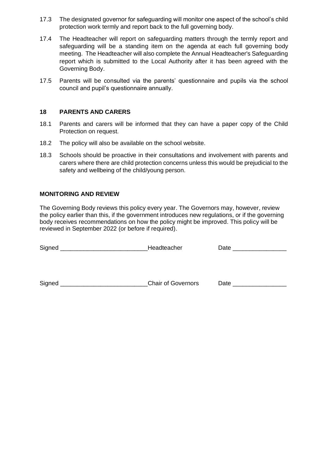- 17.3 The designated governor for safeguarding will monitor one aspect of the school's child protection work termly and report back to the full governing body.
- 17.4 The Headteacher will report on safeguarding matters through the termly report and safeguarding will be a standing item on the agenda at each full governing body meeting. The Headteacher will also complete the Annual Headteacher's Safeguarding report which is submitted to the Local Authority after it has been agreed with the Governing Body.
- 17.5 Parents will be consulted via the parents' questionnaire and pupils via the school council and pupil's questionnaire annually.

## **18 PARENTS AND CARERS**

- 18.1 Parents and carers will be informed that they can have a paper copy of the Child Protection on request.
- 18.2 The policy will also be available on the school website.
- 18.3 Schools should be proactive in their consultations and involvement with parents and carers where there are child protection concerns unless this would be prejudicial to the safety and wellbeing of the child/young person.

## **MONITORING AND REVIEW**

The Governing Body reviews this policy every year. The Governors may, however, review the policy earlier than this, if the government introduces new regulations, or if the governing body receives recommendations on how the policy might be improved. This policy will be reviewed in September 2022 (or before if required).

Signed \_\_\_\_\_\_\_\_\_\_\_\_\_\_\_\_\_\_\_\_\_\_\_\_\_\_\_\_\_\_\_\_Headteacher \_\_\_\_\_\_\_\_\_\_\_\_\_\_\_\_\_\_\_\_\_\_\_\_\_\_\_

Signed Signed **Signed Signed Signed Chair of Governors** Date **Date** 2014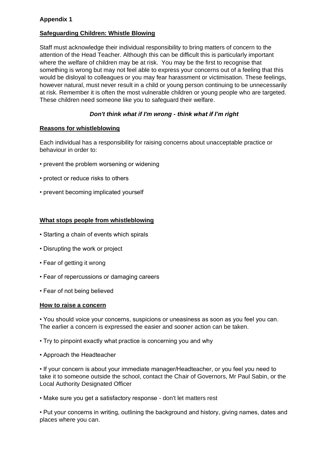# **Appendix 1**

# **Safeguarding Children: Whistle Blowing**

Staff must acknowledge their individual responsibility to bring matters of concern to the attention of the Head Teacher. Although this can be difficult this is particularly important where the welfare of children may be at risk. You may be the first to recognise that something is wrong but may not feel able to express your concerns out of a feeling that this would be disloyal to colleagues or you may fear harassment or victimisation. These feelings, however natural, must never result in a child or young person continuing to be unnecessarily at risk. Remember it is often the most vulnerable children or young people who are targeted. These children need someone like you to safeguard their welfare.

# *Don't think what if I'm wrong - think what if I'm right*

## **Reasons for whistleblowing**

Each individual has a responsibility for raising concerns about unacceptable practice or behaviour in order to:

- prevent the problem worsening or widening
- protect or reduce risks to others
- prevent becoming implicated yourself

# **What stops people from whistleblowing**

- Starting a chain of events which spirals
- Disrupting the work or project
- Fear of getting it wrong
- Fear of repercussions or damaging careers
- Fear of not being believed

## **How to raise a concern**

• You should voice your concerns, suspicions or uneasiness as soon as you feel you can. The earlier a concern is expressed the easier and sooner action can be taken.

• Try to pinpoint exactly what practice is concerning you and why

• Approach the Headteacher

• If your concern is about your immediate manager/Headteacher, or you feel you need to take it to someone outside the school, contact the Chair of Governors, Mr Paul Sabin, or the Local Authority Designated Officer

• Make sure you get a satisfactory response - don't let matters rest

• Put your concerns in writing, outlining the background and history, giving names, dates and places where you can.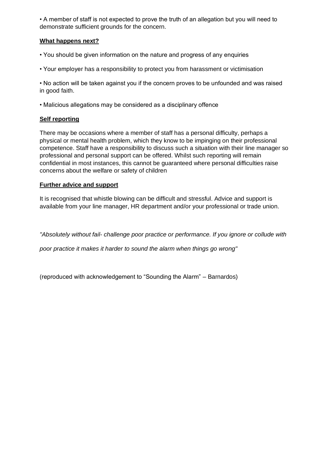• A member of staff is not expected to prove the truth of an allegation but you will need to demonstrate sufficient grounds for the concern.

# **What happens next?**

- You should be given information on the nature and progress of any enquiries
- Your employer has a responsibility to protect you from harassment or victimisation

• No action will be taken against you if the concern proves to be unfounded and was raised in good faith.

• Malicious allegations may be considered as a disciplinary offence

# **Self reporting**

There may be occasions where a member of staff has a personal difficulty, perhaps a physical or mental health problem, which they know to be impinging on their professional competence. Staff have a responsibility to discuss such a situation with their line manager so professional and personal support can be offered. Whilst such reporting will remain confidential in most instances, this cannot be guaranteed where personal difficulties raise concerns about the welfare or safety of children

# **Further advice and support**

It is recognised that whistle blowing can be difficult and stressful. Advice and support is available from your line manager, HR department and/or your professional or trade union.

*"Absolutely without fail- challenge poor practice or performance. If you ignore or collude with*

*poor practice it makes it harder to sound the alarm when things go wrong"* 

(reproduced with acknowledgement to "Sounding the Alarm" – Barnardos)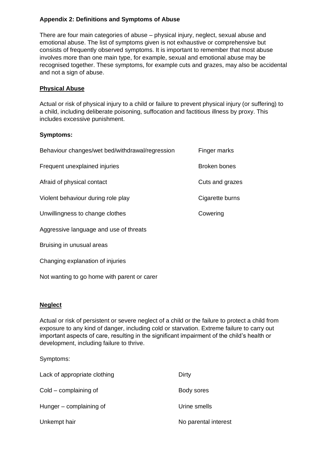# **Appendix 2: Definitions and Symptoms of Abuse**

There are four main categories of abuse – physical injury, neglect, sexual abuse and emotional abuse. The list of symptoms given is not exhaustive or comprehensive but consists of frequently observed symptoms. It is important to remember that most abuse involves more than one main type, for example, sexual and emotional abuse may be recognised together. These symptoms, for example cuts and grazes, may also be accidental and not a sign of abuse.

# **Physical Abuse**

Actual or risk of physical injury to a child or failure to prevent physical injury (or suffering) to a child, including deliberate poisoning, suffocation and factitious illness by proxy. This includes excessive punishment.

# **Symptoms:**

| Behaviour changes/wet bed/withdrawal/regression | Finger marks    |
|-------------------------------------------------|-----------------|
| Frequent unexplained injuries                   | Broken bones    |
| Afraid of physical contact                      | Cuts and grazes |
| Violent behaviour during role play              | Cigarette burns |
| Unwillingness to change clothes                 | Cowering        |
| Aggressive language and use of threats          |                 |
| Bruising in unusual areas                       |                 |

Changing explanation of injuries

Not wanting to go home with parent or carer

## **Neglect**

Actual or risk of persistent or severe neglect of a child or the failure to protect a child from exposure to any kind of danger, including cold or starvation. Extreme failure to carry out important aspects of care, resulting in the significant impairment of the child's health or development, including failure to thrive.

Symptoms:

| Lack of appropriate clothing | Dirty                |
|------------------------------|----------------------|
| $Cold$ – complaining of      | Body sores           |
| Hunger – complaining of      | Urine smells         |
| Unkempt hair                 | No parental interest |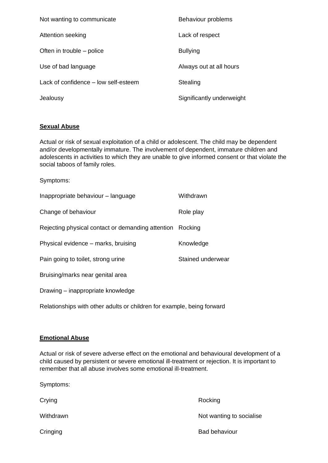| Not wanting to communicate           | Behaviour problems        |
|--------------------------------------|---------------------------|
| Attention seeking                    | Lack of respect           |
| Often in trouble – police            | <b>Bullying</b>           |
| Use of bad language                  | Always out at all hours   |
| Lack of confidence – low self-esteem | Stealing                  |
| Jealousy                             | Significantly underweight |

# **Sexual Abuse**

Symptoms:

Actual or risk of sexual exploitation of a child or adolescent. The child may be dependent and/or developmentally immature. The involvement of dependent, immature children and adolescents in activities to which they are unable to give informed consent or that violate the social taboos of family roles.

| ovinpronto.                                                            |                   |  |
|------------------------------------------------------------------------|-------------------|--|
| Inappropriate behaviour - language                                     | Withdrawn         |  |
| Change of behaviour                                                    | Role play         |  |
| Rejecting physical contact or demanding attention                      | Rocking           |  |
| Physical evidence – marks, bruising                                    | Knowledge         |  |
| Pain going to toilet, strong urine                                     | Stained underwear |  |
| Bruising/marks near genital area                                       |                   |  |
| Drawing – inappropriate knowledge                                      |                   |  |
| Relationships with other adults or children for example, being forward |                   |  |

## **Emotional Abuse**

Actual or risk of severe adverse effect on the emotional and behavioural development of a child caused by persistent or severe emotional ill-treatment or rejection. It is important to remember that all abuse involves some emotional ill-treatment.

| Symptoms: |                          |
|-----------|--------------------------|
| Crying    | Rocking                  |
| Withdrawn | Not wanting to socialise |
| Cringing  | <b>Bad behaviour</b>     |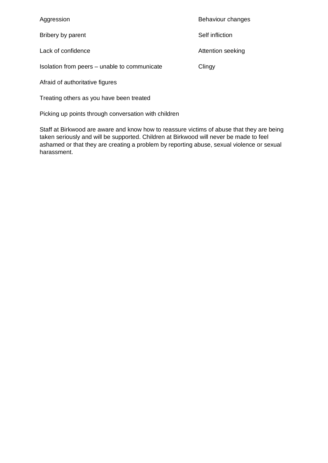Aggression **Behaviour** changes Bribery by parent **Self** infliction Lack of confidence **Attention** seeking Isolation from peers – unable to communicate Clingy Afraid of authoritative figures

Treating others as you have been treated

Picking up points through conversation with children

Staff at Birkwood are aware and know how to reassure victims of abuse that they are being taken seriously and will be supported. Children at Birkwood will never be made to feel ashamed or that they are creating a problem by reporting abuse, sexual violence or sexual harassment.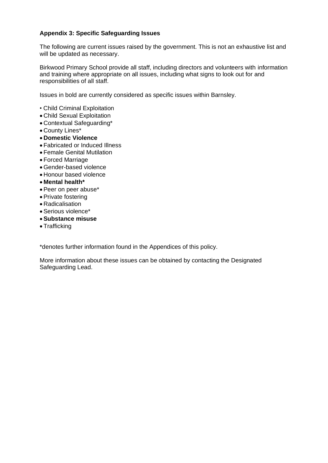# **Appendix 3: Specific Safeguarding Issues**

The following are current issues raised by the government. This is not an exhaustive list and will be updated as necessary.

Birkwood Primary School provide all staff, including directors and volunteers with information and training where appropriate on all issues, including what signs to look out for and responsibilities of all staff.

Issues in bold are currently considered as specific issues within Barnsley.

- Child Criminal Exploitation
- Child Sexual Exploitation
- Contextual Safeguarding\*
- County Lines\*
- **Domestic Violence**
- Fabricated or Induced Illness
- Female Genital Mutilation
- Forced Marriage
- Gender-based violence
- Honour based violence
- **Mental health\***
- Peer on peer abuse\*
- Private fostering
- Radicalisation
- Serious violence\*
- **Substance misuse**
- Trafficking

\*denotes further information found in the Appendices of this policy.

More information about these issues can be obtained by contacting the Designated Safeguarding Lead.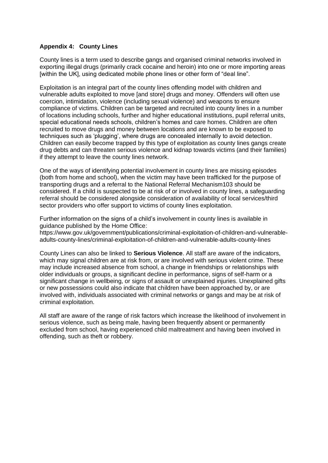#### **Appendix 4: County Lines**

County lines is a term used to describe gangs and organised criminal networks involved in exporting illegal drugs (primarily crack cocaine and heroin) into one or more importing areas [within the UK], using dedicated mobile phone lines or other form of "deal line".

Exploitation is an integral part of the county lines offending model with children and vulnerable adults exploited to move [and store] drugs and money. Offenders will often use coercion, intimidation, violence (including sexual violence) and weapons to ensure compliance of victims. Children can be targeted and recruited into county lines in a number of locations including schools, further and higher educational institutions, pupil referral units, special educational needs schools, children's homes and care homes. Children are often recruited to move drugs and money between locations and are known to be exposed to techniques such as 'plugging', where drugs are concealed internally to avoid detection. Children can easily become trapped by this type of exploitation as county lines gangs create drug debts and can threaten serious violence and kidnap towards victims (and their families) if they attempt to leave the county lines network.

One of the ways of identifying potential involvement in county lines are missing episodes (both from home and school), when the victim may have been trafficked for the purpose of transporting drugs and a referral to the National Referral Mechanism103 should be considered. If a child is suspected to be at risk of or involved in county lines, a safeguarding referral should be considered alongside consideration of availability of local services/third sector providers who offer support to victims of county lines exploitation.

Further information on the signs of a child's involvement in county lines is available in guidance published by the Home Office:

https://www.gov.uk/government/publications/criminal-exploitation-of-children-and-vulnerableadults-county-lines/criminal-exploitation-of-children-and-vulnerable-adults-county-lines

County Lines can also be linked to **Serious Violence**. All staff are aware of the indicators, which may signal children are at risk from, or are involved with serious violent crime. These may include increased absence from school, a change in friendships or relationships with older individuals or groups, a significant decline in performance, signs of self-harm or a significant change in wellbeing, or signs of assault or unexplained injuries. Unexplained gifts or new possessions could also indicate that children have been approached by, or are involved with, individuals associated with criminal networks or gangs and may be at risk of criminal exploitation.

All staff are aware of the range of risk factors which increase the likelihood of involvement in serious violence, such as being male, having been frequently absent or permanently excluded from school, having experienced child maltreatment and having been involved in offending, such as theft or robbery.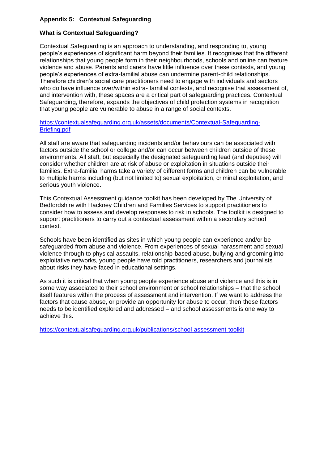# **Appendix 5: Contextual Safeguarding**

# **What is Contextual Safeguarding?**

Contextual Safeguarding is an approach to understanding, and responding to, young people's experiences of significant harm beyond their families. It recognises that the different relationships that young people form in their neighbourhoods, schools and online can feature violence and abuse. Parents and carers have little influence over these contexts, and young people's experiences of extra-familial abuse can undermine parent-child relationships. Therefore children's social care practitioners need to engage with individuals and sectors who do have influence over/within extra- familial contexts, and recognise that assessment of, and intervention with, these spaces are a critical part of safeguarding practices. Contextual Safeguarding, therefore, expands the objectives of child protection systems in recognition that young people are vulnerable to abuse in a range of social contexts.

#### [https://contextualsafeguarding.org.uk/assets/documents/Contextual-Safeguarding-](https://contextualsafeguarding.org.uk/assets/documents/Contextual-Safeguarding-Briefing.pdf)[Briefing.pdf](https://contextualsafeguarding.org.uk/assets/documents/Contextual-Safeguarding-Briefing.pdf)

All staff are aware that safeguarding incidents and/or behaviours can be associated with factors outside the school or college and/or can occur between children outside of these environments. All staff, but especially the designated safeguarding lead (and deputies) will consider whether children are at risk of abuse or exploitation in situations outside their families. Extra-familial harms take a variety of different forms and children can be vulnerable to multiple harms including (but not limited to) sexual exploitation, criminal exploitation, and serious youth violence.

This Contextual Assessment guidance toolkit has been developed by The University of Bedfordshire with Hackney Children and Families Services to support practitioners to consider how to assess and develop responses to risk in schools. The toolkit is designed to support practitioners to carry out a contextual assessment within a secondary school context.

Schools have been identified as sites in which young people can experience and/or be safeguarded from abuse and violence. From experiences of sexual harassment and sexual violence through to physical assaults, relationship-based abuse, bullying and grooming into exploitative networks, young people have told practitioners, researchers and journalists about risks they have faced in educational settings.

As such it is critical that when young people experience abuse and violence and this is in some way associated to their school environment or school relationships – that the school itself features within the process of assessment and intervention. If we want to address the factors that cause abuse, or provide an opportunity for abuse to occur, then these factors needs to be identified explored and addressed – and school assessments is one way to achieve this.

<https://contextualsafeguarding.org.uk/publications/school-assessment-toolkit>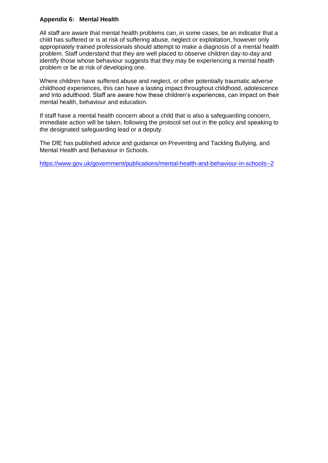# **Appendix 6: Mental Health**

All staff are aware that mental health problems can, in some cases, be an indicator that a child has suffered or is at risk of suffering abuse, neglect or exploitation, however only appropriately trained professionals should attempt to make a diagnosis of a mental health problem. Staff understand that they are well placed to observe children day-to-day and identify those whose behaviour suggests that they may be experiencing a mental health problem or be at risk of developing one.

Where children have suffered abuse and neglect, or other potentially traumatic adverse childhood experiences, this can have a lasting impact throughout childhood, adolescence and into adulthood. Staff are aware how these children's experiences, can impact on their mental health, behaviour and education.

If staff have a mental health concern about a child that is also a safeguarding concern, immediate action will be taken, following the protocol set out in the policy and speaking to the designated safeguarding lead or a deputy.

The DfE has published advice and guidance on Preventing and Tackling Bullying, and Mental Health and Behaviour in Schools.

<https://www.gov.uk/government/publications/mental-health-and-behaviour-in-schools--2>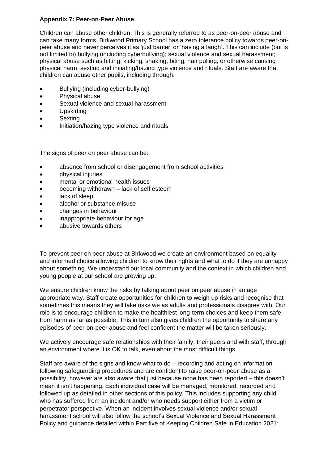# **Appendix 7: Peer-on-Peer Abuse**

Children can abuse other children. This is generally referred to as peer-on-peer abuse and can take many forms. Birkwood Primary School has a zero tolerance policy towards peer-onpeer abuse and never perceives it as 'just banter' or 'having a laugh'. This can include (but is not limited to) bullying (including cyberbullying); sexual violence and sexual harassment; physical abuse such as hitting, kicking, shaking, biting, hair pulling, or otherwise causing physical harm; sexting and initiating/hazing type violence and rituals. Staff are aware that children can abuse other pupils, including through:

- Bullying (including cyber-bullying)
- Physical abuse
- Sexual violence and sexual harassment
- Upskirting
- **Sexting**
- Initiation/hazing type violence and rituals

The signs of peer on peer abuse can be:

- absence from school or disengagement from school activities
- physical injuries
- mental or emotional health issues
- becoming withdrawn lack of self esteem
- lack of sleep
- alcohol or substance misuse
- changes in behaviour
- inappropriate behaviour for age
- abusive towards others

To prevent peer on peer abuse at Birkwood we create an environment based on equality and informed choice allowing children to know their rights and what to do if they are unhappy about something. We understand our local community and the context in which children and young people at our school are growing up.

We ensure children know the risks by talking about peer on peer abuse in an age appropriate way. Staff create opportunities for children to weigh up risks and recognise that sometimes this means they will take risks we as adults and professionals disagree with. Our role is to encourage children to make the healthiest long-term choices and keep them safe from harm as far as possible. This in turn also gives children the opportunity to share any episodes of peer-on-peer abuse and feel confident the matter will be taken seriously.

We actively encourage safe relationships with their family, their peers and with staff, through an environment where it is OK to talk, even about the most difficult things.

Staff are aware of the signs and know what to do – recording and acting on information following safeguarding procedures and are confident to raise peer-on-peer abuse as a possibility, however are also aware that just because none has been reported – this doesn't mean it isn't happening. Each individual case will be managed, monitored, recorded and followed up as detailed in other sections of this policy. This includes supporting any child who has suffered from an incident and/or who needs support either from a victim or perpetrator perspective. When an incident involves sexual violence and/or sexual harassment school will also follow the school's Sexual Violence and Sexual Harassment Policy and guidance detailed within Part five of Keeping Children Safe in Education 2021: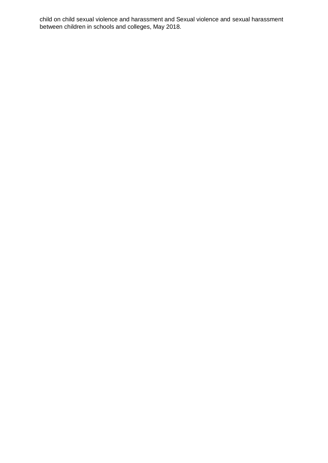child on child sexual violence and harassment and Sexual violence and sexual harassment between children in schools and colleges, May 2018.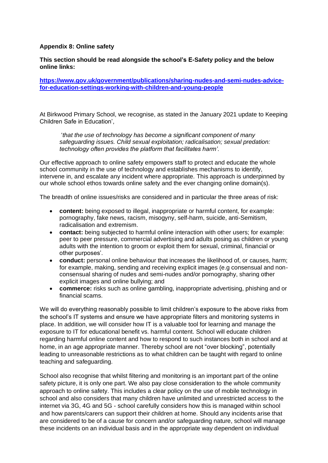#### **Appendix 8: Online safety**

**This section should be read alongside the school's E-Safety policy and the below online links:**

#### **[https://www.gov.uk/government/publications/sharing-nudes-and-semi-nudes-advice](https://www.gov.uk/government/publications/sharing-nudes-and-semi-nudes-advice-for-education-settings-working-with-children-and-young-people)[for-education-settings-working-with-children-and-young-people](https://www.gov.uk/government/publications/sharing-nudes-and-semi-nudes-advice-for-education-settings-working-with-children-and-young-people)**

At Birkwood Primary School, we recognise, as stated in the January 2021 update to Keeping Children Safe in Education',

'*that the use of technology has become a significant component of many safeguarding issues. Child sexual exploitation; radicalisation; sexual predation: technology often provides the platform that facilitates harm'.*

Our effective approach to online safety empowers staff to protect and educate the whole school community in the use of technology and establishes mechanisms to identify, intervene in, and escalate any incident where appropriate. This approach is underpinned by our whole school ethos towards online safety and the ever changing online domain(s).

The breadth of online issues/risks are considered and in particular the three areas of risk:

- **content:** being exposed to illegal, inappropriate or harmful content, for example: pornography, fake news, racism, misogyny, self-harm, suicide, anti-Semitism, radicalisation and extremism.
- **contact:** being subjected to harmful online interaction with other users; for example: peer to peer pressure, commercial advertising and adults posing as children or young adults with the intention to groom or exploit them for sexual, criminal, financial or other purposes'.
- **conduct:** personal online behaviour that increases the likelihood of, or causes, harm; for example, making, sending and receiving explicit images (e.g consensual and nonconsensual sharing of nudes and semi-nudes and/or pornography, sharing other explicit images and online bullying; and
- **commerce:** risks such as online gambling, inappropriate advertising, phishing and or financial scams.

We will do everything reasonably possible to limit children's exposure to the above risks from the school's IT systems and ensure we have appropriate filters and monitoring systems in place. In addition, we will consider how IT is a valuable tool for learning and manage the exposure to IT for educational benefit vs. harmful content. School will educate children regarding harmful online content and how to respond to such instances both in school and at home, in an age appropriate manner. Thereby school are not "over blocking", potentially leading to unreasonable restrictions as to what children can be taught with regard to online teaching and safeguarding.

School also recognise that whilst filtering and monitoring is an important part of the online safety picture, it is only one part. We also pay close consideration to the whole community approach to online safety. This includes a clear policy on the use of mobile technology in school and also considers that many children have unlimited and unrestricted access to the internet via 3G, 4G and 5G - school carefully considers how this is managed within school and how parents/carers can support their children at home. Should any incidents arise that are considered to be of a cause for concern and/or safeguarding nature, school will manage these incidents on an individual basis and in the appropriate way dependent on individual